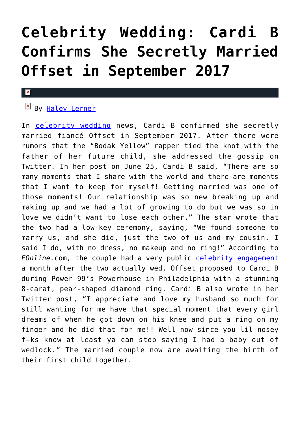## **[Celebrity Wedding: Cardi B](https://cupidspulse.com/125407/celebrity-wedding-cardi-b-secretly-married-offset/) [Confirms She Secretly Married](https://cupidspulse.com/125407/celebrity-wedding-cardi-b-secretly-married-offset/) [Offset in September 2017](https://cupidspulse.com/125407/celebrity-wedding-cardi-b-secretly-married-offset/)**

## $\mathbf{x}$

## By [Haley Lerner](http://cupidspulse.com/126165/haley-lerner/)

In [celebrity wedding](http://cupidspulse.com/celebrity-relationships/wedding-engagement/) news, Cardi B confirmed she secretly married fiancé Offset in September 2017. After there were rumors that the "Bodak Yellow" rapper tied the knot with the father of her future child, she addressed the gossip on Twitter. In her post on June 25, Cardi B said, "There are so many moments that I share with the world and there are moments that I want to keep for myself! Getting married was one of those moments! Our relationship was so new breaking up and making up and we had a lot of growing to do but we was so in love we didn't want to lose each other." The star wrote that the two had a low-key ceremony, saying, "We found someone to marry us, and she did, just the two of us and my cousin. I said I do, with no dress, no makeup and no ring!" According to *EOnline.*com, the couple had a very public [celebrity engagement](http://cupidspulse.com/celebrity-relationships/wedding-engagement/) a month after the two actually wed. Offset proposed to Cardi B during Power 99's Powerhouse in Philadelphia with a stunning 8-carat, pear-shaped diamond ring. Cardi B also wrote in her Twitter post, "I appreciate and love my husband so much for still wanting for me have that special moment that every girl dreams of when he got down on his knee and put a ring on my finger and he did that for me!! Well now since you lil nosey f–ks know at least ya can stop saying I had a baby out of wedlock." The married couple now are awaiting the birth of their first child together.